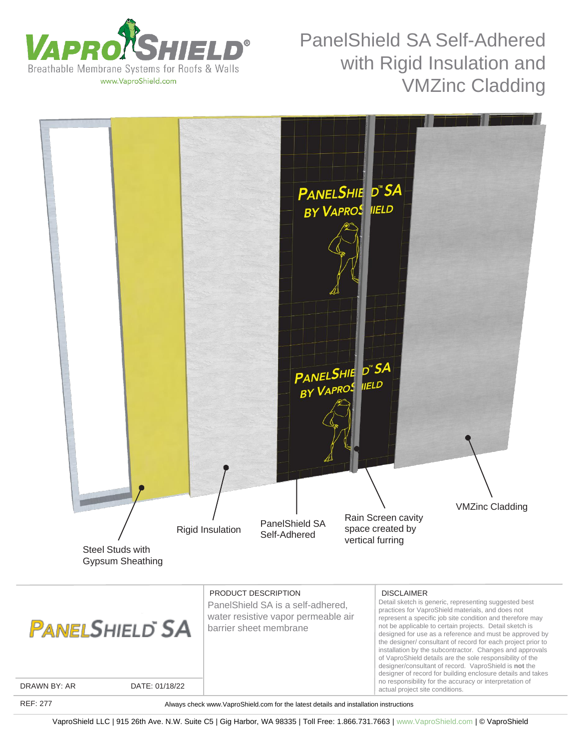



REF: 277

Always check www.VaproShield.com for the latest details and installation instructions

VaproShield LLC | 915 26th Ave. N.W. Suite C5 | Gig Harbor, WA 98335 | Toll Free: 1.866.731.7663 | www.VaproShield.com | © VaproShield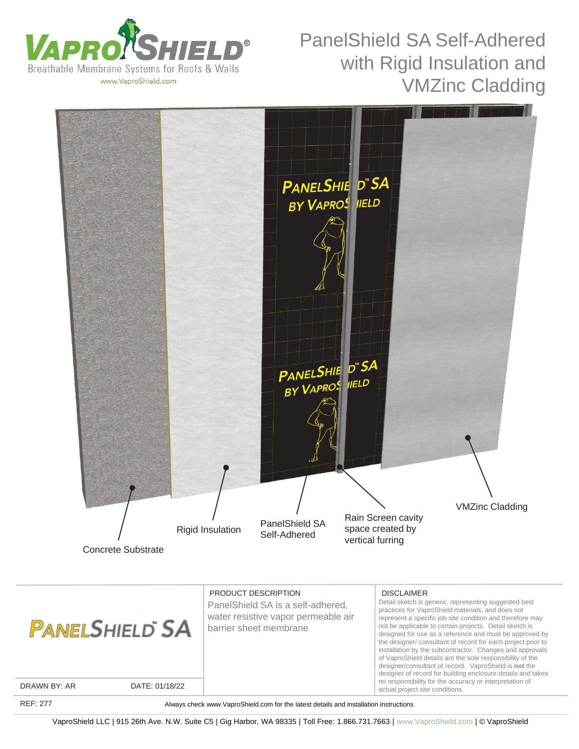





VaproShield LLC | 915 26th Ave. N.W. Suite C5 | Gig Harbor, WA 98335 | Toll Free: 1.866.731.7663 | www.VaproShield.com | © VaproShield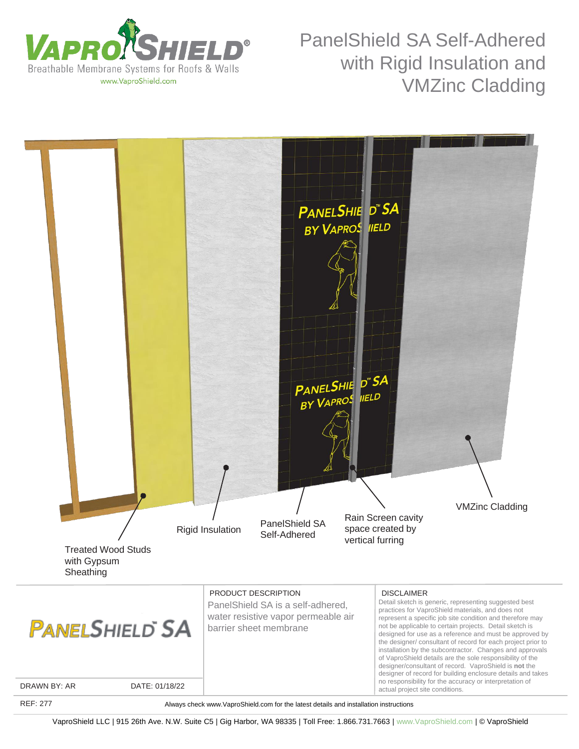